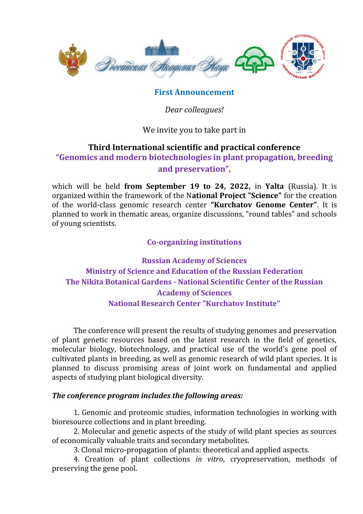

## **First Announcement**

*Dear colleagues!* 

We invite you to take part in

## **Third International scientific and practical conference**

**"Genomics and modern biotechnologies in plant propagation, breeding and preservation",**

which will be held **from September 19 to 24, 2022,** in **Yalta** (Russia). It is organized within the framework of the N**ational Project "Science"** for the creation of the world-class genomic research center **"Kurchatov Genome Center"**. It is planned to work in thematic areas, organize discussions, "round tables" and schools of young scientists.

**Co-organizing institutions**

**Russian Academy of Sciences Ministry of Science and Education of the Russian Federation The Nikita Botanical Gardens - National Scientific Center of the Russian Academy of Sciences National Research Center "Kurchatov Institute"**

The conference will present the results of studying genomes and preservation of plant genetic resources based on the latest research in the field of genetics, molecular biology, biotechnology, and practical use of the world's gene pool of cultivated plants in breeding, as well as genomic research of wild plant species. It is planned to discuss promising areas of joint work on fundamental and applied aspects of studying plant biological diversity.

## *The conference program includes the following areas:*

1. Genomic and proteomic studies, information technologies in working with bioresource collections and in plant breeding.

2. Molecular and genetic aspects of the study of wild plant species as sources of economically valuable traits and secondary metabolites.

3. Clonal micro-propagation of plants: theoretical and applied aspects.

4. Creation of plant collections *in vitro*, cryopreservation, methods of preserving the gene pool.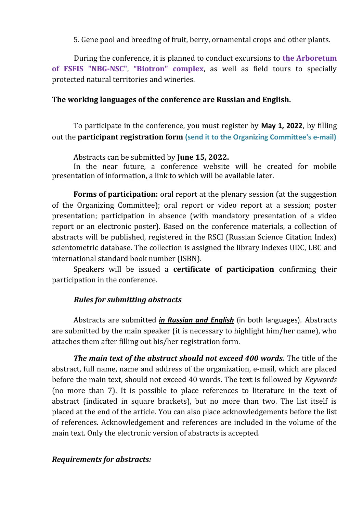5. Gene pool and breeding of fruit, berry, ornamental crops and other plants.

During the conference, it is planned to conduct excursions to **the Arboretum of FSFIS "NBG-NSC"**, **"Biotron" complex**, as well as field tours to specially protected natural territories and wineries.

### **The working languages of the conference are Russian and English.**

To participate in the conference, you must register by **May 1, 2022**, by filling out the **participant registration form (send it to the Organizing Committee's e-mail)**

Abstracts can be submitted by **June 15, 2022.**

In the near future, a conference website will be created for mobile presentation of information, a link to which will be available later.

**Forms of participation:** oral report at the plenary session (at the suggestion of the Organizing Committee); oral report or video report at a session; poster presentation; participation in absence (with mandatory presentation of a video report or an electronic poster). Based on the conference materials, a collection of abstracts will be published, registered in the RSCI (Russian Science Citation Index) scientometric database. The collection is assigned the library indexes UDC, LBC and international standard book number (ISBN).

Speakers will be issued a **certificate of participation** confirming their participation in the conference.

### *Rules for submitting abstracts*

Abstracts are submitted *in Russian and English* (in both languages). Abstracts are submitted by the main speaker (it is necessary to highlight him/her name), who attaches them after filling out his/her registration form.

*The main text of the abstract should not exceed 400 words.* The title of the abstract, full name, name and address of the organization, e-mail, which are placed before the main text, should not exceed 40 words. The text is followed by *Keywords* (no more than 7). It is possible to place references to literature in the text of abstract (indicated in square brackets), but no more than two. The list itself is placed at the end of the article. You can also place acknowledgements before the list of references. Acknowledgement and references are included in the volume of the main text. Only the electronic version of abstracts is accepted.

#### *Requirements for abstracts:*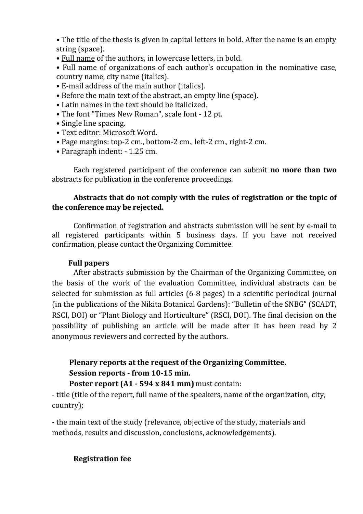• The title of the thesis is given in capital letters in bold. After the name is an empty string (space).

• Full name of the authors, in lowercase letters, in bold.

• Full name of organizations of each author's occupation in the nominative case, country name, city name (italics).

- E-mail address of the main author (italics).
- Before the main text of the abstract, an empty line (space).
- Latin names in the text should be italicized.
- The font "Times New Roman", scale font 12 pt.
- Single line spacing.
- Text editor: Microsoft Word.
- Page margins: top-2 cm., bottom-2 cm., left-2 cm., right-2 cm.
- Paragraph indent: 1.25 cm.

Each registered participant of the conference can submit **no more than two** abstracts for publication in the conference proceedings.

## **Abstracts that do not comply with the rules of registration or the topic of the conference may be rejected.**

Confirmation of registration and abstracts submission will be sent by e-mail to all registered participants within 5 business days. If you have not received confirmation, please contact the Organizing Committee.

## **Full papers**

After abstracts submission by the Chairman of the Organizing Committee, on the basis of the work of the evaluation Committee, individual abstracts can be selected for submission as full articles (6-8 pages) in a scientific periodical journal (in the publications of the Nikita Botanical Gardens): "Bulletin of the SNBG" (SCADT, RSCI, DOI) or "Plant Biology and Horticulture" (RSCI, DOI). The final decision on the possibility of publishing an article will be made after it has been read by 2 anonymous reviewers and corrected by the authors.

# **Plenary reports at the request of the Organizing Committee. Session reports - from 10-15 min.**

### **Poster report (A1 - 594 x 841 mm)** must contain:

- title (title of the report, full name of the speakers, name of the organization, city, country);

- the main text of the study (relevance, objective of the study, materials and methods, results and discussion, conclusions, acknowledgements).

## **Registration fee**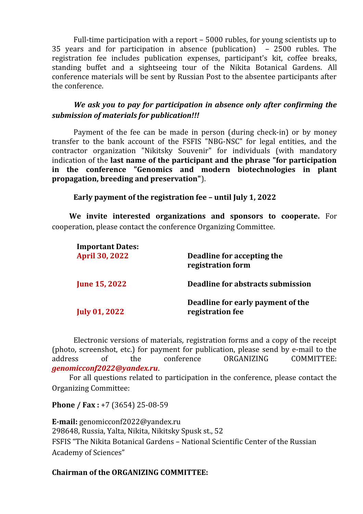Full-time participation with a report – 5000 rubles, for young scientists up to 35 years and for participation in absence (publication) – 2500 rubles. The registration fee includes publication expenses, participant's kit, coffee breaks, standing buffet and a sightseeing tour of the Nikita Botanical Gardens. All conference materials will be sent by Russian Post to the absentee participants after the conference.

*We ask you to pay for participation in absence only after confirming the submission of materials for publication!!!*

Payment of the fee can be made in person (during check-in) or by money transfer to the bank account of the FSFIS "NBG-NSC" for legal entities, and the contractor organization "Nikitsky Souvenir" for individuals (with mandatory indication of the **last name of the participant and the phrase "for participation in the conference "Genomics and modern biotechnologies in plant propagation, breeding and preservation"**).

**Early payment of the registration fee – until July 1, 2022**

**We invite interested organizations and sponsors to cooperate.** For cooperation, please contact the conference Organizing Committee.

| <b>Important Dates:</b><br><b>April 30, 2022</b> | Deadline for accepting the<br>registration form       |
|--------------------------------------------------|-------------------------------------------------------|
| <b>June 15, 2022</b>                             | Deadline for abstracts submission                     |
| <b>July 01, 2022</b>                             | Deadline for early payment of the<br>registration fee |

Electronic versions of materials, registration forms and a copy of the receipt (photo, screenshot, etc.) for payment for publication, please send by e-mail to the address of the conference ORGANIZING COMMITTEE: *genomicconf2022@yandex.ru*.

For all questions related to participation in the conference, please contact the Organizing Committee:

**Phone / Fax :** +7 (3654) 25-08-59

**E-mail:** genomicconf2022@yandex.ru 298648, Russia, Yalta, Nikita, Nikitsky Spusk st., 52 FSFIS "The Nikita Botanical Gardens – National Scientific Center of the Russian Academy of Sciences"

## **Chairman of the ORGANIZING COMMITTEE:**